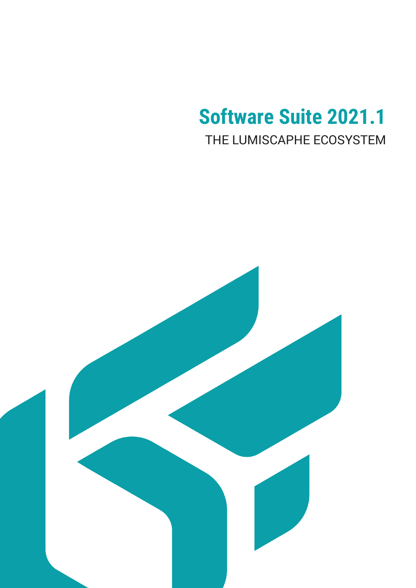# **Software Suite 2021.1** THE LUMISCAPHE ECOSYSTEM

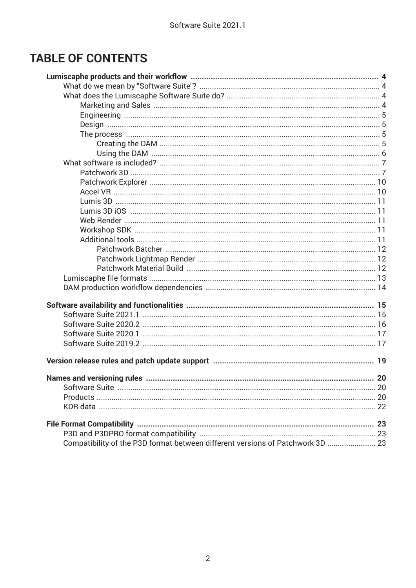# **TABLE OF CONTENTS**

| Compatibility of the P3D format between different versions of Patchwork 3D  23 |  |
|--------------------------------------------------------------------------------|--|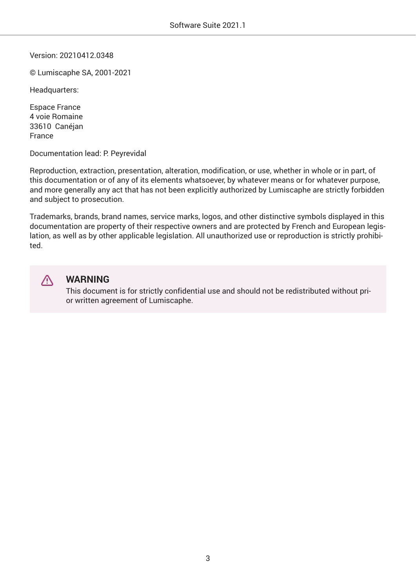Version: 20210412.0348

© Lumiscaphe SA, 2001-2021

Headquarters:

Espace France 4 voie Romaine 33610 Canéjan France

Documentation lead: P. Peyrevidal

Reproduction, extraction, presentation, alteration, modification, or use, whether in whole or in part, of this documentation or of any of its elements whatsoever, by whatever means or for whatever purpose, and more generally any act that has not been explicitly authorized by Lumiscaphe are strictly forbidden and subject to prosecution.

Trademarks, brands, brand names, service marks, logos, and other distinctive symbols displayed in this documentation are property of their respective owners and are protected by French and European legislation, as well as by other applicable legislation. All unauthorized use or reproduction is strictly prohibited.



#### **WARNING**

This document is for strictly confidential use and should not be redistributed without prior written agreement of Lumiscaphe.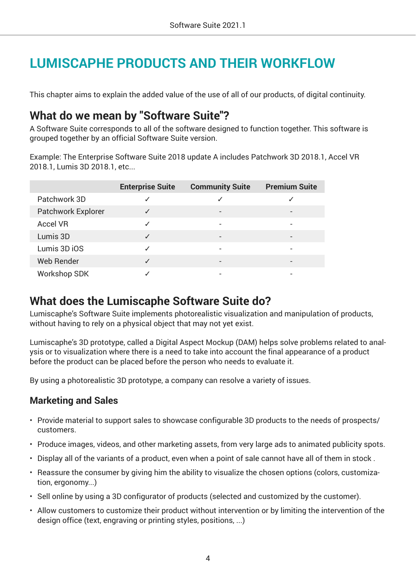# <span id="page-3-0"></span>**LUMISCAPHE PRODUCTS AND THEIR WORKFLOW**

This chapter aims to explain the added value of the use of all of our products, of digital continuity.

## **What do we mean by "Software Suite"?**

A Software Suite corresponds to all of the software designed to function together. This software is grouped together by an official Software Suite version.

Example: The Enterprise Software Suite 2018 update A includes Patchwork 3D 2018.1, Accel VR 2018.1, Lumis 3D 2018.1, etc...

|                           | <b>Enterprise Suite</b> | <b>Community Suite</b> | <b>Premium Suite</b> |
|---------------------------|-------------------------|------------------------|----------------------|
| Patchwork 3D              |                         |                        |                      |
| <b>Patchwork Explorer</b> |                         |                        |                      |
| Accel VR                  |                         |                        |                      |
| Lumis 3D                  |                         |                        |                      |
| Lumis 3D iOS              |                         |                        |                      |
| Web Render                |                         |                        |                      |
| <b>Workshop SDK</b>       |                         |                        |                      |

### **What does the Lumiscaphe Software Suite do?**

Lumiscaphe's Software Suite implements photorealistic visualization and manipulation of products, without having to rely on a physical object that may not yet exist.

Lumiscaphe's 3D prototype, called a Digital Aspect Mockup (DAM) helps solve problems related to analysis or to visualization where there is a need to take into account the final appearance of a product before the product can be placed before the person who needs to evaluate it.

By using a photorealistic 3D prototype, a company can resolve a variety of issues.

### **Marketing and Sales**

- Provide material to support sales to showcase configurable 3D products to the needs of prospects/ customers.
- Produce images, videos, and other marketing assets, from very large ads to animated publicity spots.
- Display all of the variants of a product, even when a point of sale cannot have all of them in stock .
- Reassure the consumer by giving him the ability to visualize the chosen options (colors, customization, ergonomy...)
- Sell online by using a 3D configurator of products (selected and customized by the customer).
- Allow customers to customize their product without intervention or by limiting the intervention of the design office (text, engraving or printing styles, positions, ...)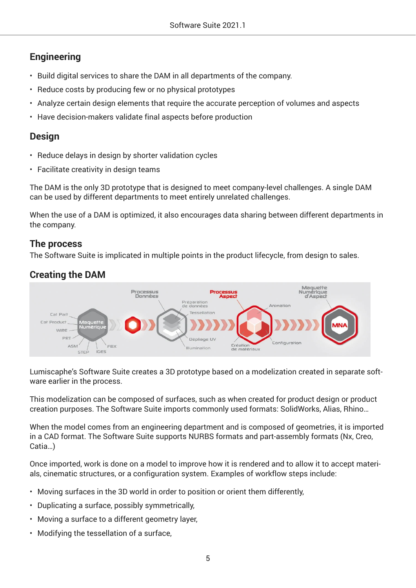### <span id="page-4-0"></span>**Engineering**

- Build digital services to share the DAM in all departments of the company.
- Reduce costs by producing few or no physical prototypes
- Analyze certain design elements that require the accurate perception of volumes and aspects
- Have decision-makers validate final aspects before production

### **Design**

- Reduce delays in design by shorter validation cycles
- Facilitate creativity in design teams

The DAM is the only 3D prototype that is designed to meet company-level challenges. A single DAM can be used by different departments to meet entirely unrelated challenges.

When the use of a DAM is optimized, it also encourages data sharing between different departments in the company.

### **The process**

The Software Suite is implicated in multiple points in the product lifecycle, from design to sales.

### **Creating the DAM**



Lumiscaphe's Software Suite creates a 3D prototype based on a modelization created in separate software earlier in the process.

This modelization can be composed of surfaces, such as when created for product design or product creation purposes. The Software Suite imports commonly used formats: SolidWorks, Alias, Rhino…

When the model comes from an engineering department and is composed of geometries, it is imported in a CAD format. The Software Suite supports NURBS formats and part-assembly formats (Nx, Creo, Catia…)

Once imported, work is done on a model to improve how it is rendered and to allow it to accept materials, cinematic structures, or a configuration system. Examples of workflow steps include:

- Moving surfaces in the 3D world in order to position or orient them differently,
- Duplicating a surface, possibly symmetrically,
- Moving a surface to a different geometry layer,
- Modifying the tessellation of a surface,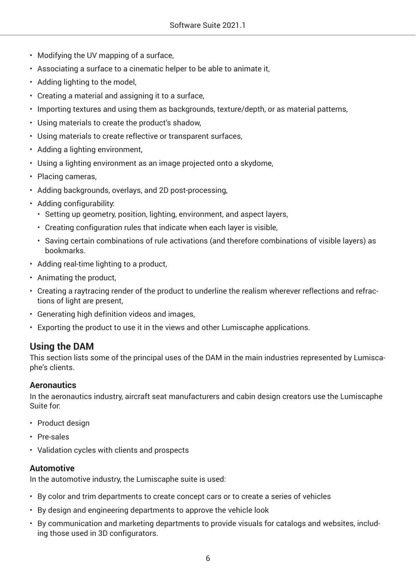- <span id="page-5-0"></span>• Modifying the UV mapping of a surface,
- Associating a surface to a cinematic helper to be able to animate it,
- Adding lighting to the model,
- Creating a material and assigning it to a surface,
- Importing textures and using them as backgrounds, texture/depth, or as material patterns,
- Using materials to create the product's shadow,
- Using materials to create reflective or transparent surfaces,
- Adding a lighting environment,
- Using a lighting environment as an image projected onto a skydome,
- Placing cameras,
- Adding backgrounds, overlays, and 2D post-processing,
- Adding configurability:
	- Setting up geometry, position, lighting, environment, and aspect layers,
	- Creating configuration rules that indicate when each layer is visible,
	- Saving certain combinations of rule activations (and therefore combinations of visible layers) as bookmarks.
- Adding real-time lighting to a product,
- Animating the product,
- Creating a raytracing render of the product to underline the realism wherever reflections and refractions of light are present,
- Generating high definition videos and images,
- Exporting the product to use it in the views and other Lumiscaphe applications.

### **Using the DAM**

This section lists some of the principal uses of the DAM in the main industries represented by Lumiscaphe's clients.

#### **Aeronautics**

In the aeronautics industry, aircraft seat manufacturers and cabin design creators use the Lumiscaphe Suite for:

- Product design
- Pre-sales
- Validation cycles with clients and prospects

#### **Automotive**

In the automotive industry, the Lumiscaphe suite is used:

- By color and trim departments to create concept cars or to create a series of vehicles
- By design and engineering departments to approve the vehicle look
- By communication and marketing departments to provide visuals for catalogs and websites, including those used in 3D configurators.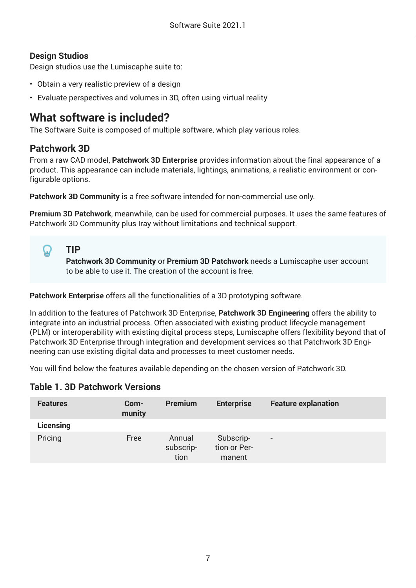### <span id="page-6-0"></span>**Design Studios**

Design studios use the Lumiscaphe suite to:

- Obtain a very realistic preview of a design
- Evaluate perspectives and volumes in 3D, often using virtual reality

## **What software is included?**

The Software Suite is composed of multiple software, which play various roles.

### **Patchwork 3D**

From a raw CAD model, **Patchwork 3D Enterprise** provides information about the final appearance of a product. This appearance can include materials, lightings, animations, a realistic environment or configurable options.

**Patchwork 3D Community** is a free software intended for non-commercial use only.

**Premium 3D Patchwork**, meanwhile, can be used for commercial purposes. It uses the same features of Patchwork 3D Community plus Iray without limitations and technical support.

**TIP Patchwork 3D Community** or **Premium 3D Patchwork** needs a Lumiscaphe user account to be able to use it. The creation of the account is free.

**Patchwork Enterprise** offers all the functionalities of a 3D prototyping software.

In addition to the features of Patchwork 3D Enterprise, **Patchwork 3D Engineering** offers the ability to integrate into an industrial process. Often associated with existing product lifecycle management (PLM) or interoperability with existing digital process steps, Lumiscaphe offers flexibility beyond that of Patchwork 3D Enterprise through integration and development services so that Patchwork 3D Engineering can use existing digital data and processes to meet customer needs.

You will find below the features available depending on the chosen version of Patchwork 3D.

#### **Table 1. 3D Patchwork Versions**

| <b>Features</b> | Com-<br>munity | <b>Premium</b>              | <b>Enterprise</b>                   | <b>Feature explanation</b> |
|-----------------|----------------|-----------------------------|-------------------------------------|----------------------------|
| Licensing       |                |                             |                                     |                            |
| Pricing         | Free           | Annual<br>subscrip-<br>tion | Subscrip-<br>tion or Per-<br>manent | $\overline{\phantom{a}}$   |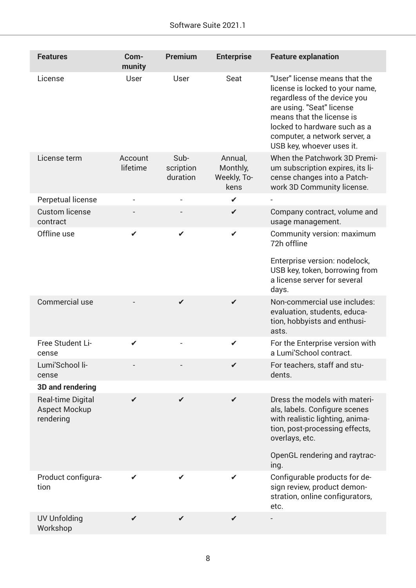| <b>Features</b>                                               | Com-<br>munity      | <b>Premium</b>                | <b>Enterprise</b>                          | <b>Feature explanation</b>                                                                                                                                                                                                                               |
|---------------------------------------------------------------|---------------------|-------------------------------|--------------------------------------------|----------------------------------------------------------------------------------------------------------------------------------------------------------------------------------------------------------------------------------------------------------|
| License                                                       | User                | User                          | Seat                                       | "User" license means that the<br>license is locked to your name,<br>regardless of the device you<br>are using. "Seat" license<br>means that the license is<br>locked to hardware such as a<br>computer, a network server, a<br>USB key, whoever uses it. |
| License term                                                  | Account<br>lifetime | Sub-<br>scription<br>duration | Annual,<br>Monthly,<br>Weekly, To-<br>kens | When the Patchwork 3D Premi-<br>um subscription expires, its li-<br>cense changes into a Patch-<br>work 3D Community license.                                                                                                                            |
| Perpetual license                                             |                     |                               | ✔                                          |                                                                                                                                                                                                                                                          |
| <b>Custom license</b><br>contract                             |                     |                               | $\checkmark$                               | Company contract, volume and<br>usage management.                                                                                                                                                                                                        |
| Offline use                                                   | ✔                   | ✔                             | $\checkmark$                               | Community version: maximum<br>72h offline<br>Enterprise version: nodelock,<br>USB key, token, borrowing from<br>a license server for several<br>days.                                                                                                    |
| Commercial use                                                |                     | ✔                             | ✔                                          | Non-commercial use includes:<br>evaluation, students, educa-<br>tion, hobbyists and enthusi-<br>asts.                                                                                                                                                    |
| Free Student Li-<br>cense                                     | ✔                   |                               | ✔                                          | For the Enterprise version with<br>a Lumi'School contract.                                                                                                                                                                                               |
| Lumi'School li-<br>cense                                      |                     |                               |                                            | For teachers, staff and stu-<br>dents.                                                                                                                                                                                                                   |
| 3D and rendering                                              |                     |                               |                                            |                                                                                                                                                                                                                                                          |
| <b>Real-time Digital</b><br><b>Aspect Mockup</b><br>rendering | ✔                   | ✔                             | ✔                                          | Dress the models with materi-<br>als, labels. Configure scenes<br>with realistic lighting, anima-<br>tion, post-processing effects,<br>overlays, etc.<br>OpenGL rendering and raytrac-<br>ing.                                                           |
| Product configura-<br>tion                                    |                     | ✔                             | ✔                                          | Configurable products for de-<br>sign review, product demon-<br>stration, online configurators,<br>etc.                                                                                                                                                  |
| <b>UV Unfolding</b><br>Workshop                               | ✔                   | ✔                             | ✔                                          |                                                                                                                                                                                                                                                          |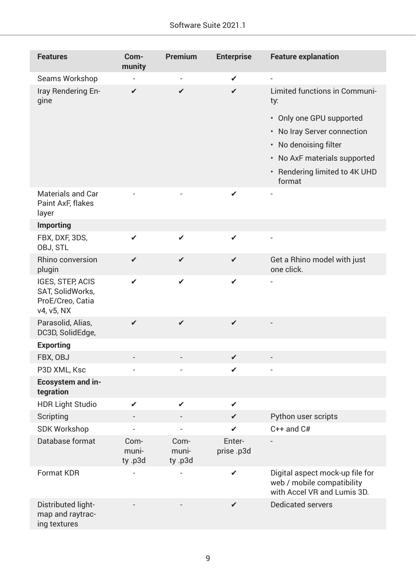| <b>Features</b>                                                        | Com-<br>munity           | Premium                  | <b>Enterprise</b>   | <b>Feature explanation</b>                                                                                                                                                                          |
|------------------------------------------------------------------------|--------------------------|--------------------------|---------------------|-----------------------------------------------------------------------------------------------------------------------------------------------------------------------------------------------------|
| Seams Workshop                                                         |                          |                          | ✔                   | $\overline{\phantom{a}}$                                                                                                                                                                            |
| Iray Rendering En-<br>gine                                             | ✔                        | ✔                        | ✔                   | Limited functions in Communi-<br>ty.<br>• Only one GPU supported<br>• No Iray Server connection<br>• No denoising filter<br>• No AxF materials supported<br>• Rendering limited to 4K UHD<br>format |
| <b>Materials and Car</b><br>Paint AxF, flakes<br>layer                 |                          |                          | ✔                   |                                                                                                                                                                                                     |
| <b>Importing</b>                                                       |                          |                          |                     |                                                                                                                                                                                                     |
| FBX, DXF, 3DS,<br>OBJ, STL                                             | ✔                        | ✔                        | $\checkmark$        | $\overline{\phantom{0}}$                                                                                                                                                                            |
| Rhino conversion<br>plugin                                             | ✔                        | ✔                        | $\checkmark$        | Get a Rhino model with just<br>one click.                                                                                                                                                           |
| IGES, STEP, ACIS<br>SAT, SolidWorks,<br>ProE/Creo, Catia<br>v4, v5, NX | ✔                        | ✔                        | ✔                   |                                                                                                                                                                                                     |
| Parasolid, Alias,<br>DC3D, SolidEdge,                                  | $\checkmark$             | $\checkmark$             | $\checkmark$        |                                                                                                                                                                                                     |
| <b>Exporting</b>                                                       |                          |                          |                     |                                                                                                                                                                                                     |
| FBX, OBJ                                                               |                          |                          | ✔                   |                                                                                                                                                                                                     |
| P3D XML, Ksc                                                           |                          |                          | ✔                   |                                                                                                                                                                                                     |
| <b>Ecosystem and in-</b><br>tegration                                  |                          |                          |                     |                                                                                                                                                                                                     |
| <b>HDR Light Studio</b>                                                | ✔                        | ✔                        | ✔                   |                                                                                                                                                                                                     |
| Scripting                                                              |                          |                          | ✔                   | Python user scripts                                                                                                                                                                                 |
| <b>SDK Workshop</b>                                                    |                          |                          | ✔                   | $C++$ and $C#$                                                                                                                                                                                      |
| Database format                                                        | Com-<br>muni-<br>ty .p3d | Com-<br>muni-<br>ty .p3d | Enter-<br>prise.p3d |                                                                                                                                                                                                     |
| <b>Format KDR</b>                                                      |                          |                          | $\checkmark$        | Digital aspect mock-up file for<br>web / mobile compatibility<br>with Accel VR and Lumis 3D.                                                                                                        |
| Distributed light-<br>map and raytrac-<br>ing textures                 |                          |                          | ✔                   | <b>Dedicated servers</b>                                                                                                                                                                            |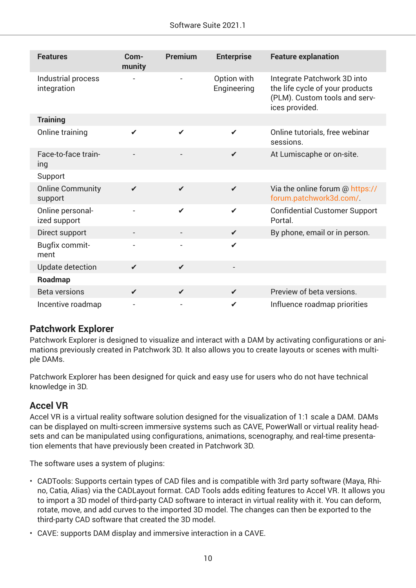<span id="page-9-0"></span>

| <b>Features</b>                    | Com-<br>munity | <b>Premium</b> | <b>Enterprise</b>          | <b>Feature explanation</b>                                                                                        |
|------------------------------------|----------------|----------------|----------------------------|-------------------------------------------------------------------------------------------------------------------|
| Industrial process<br>integration  |                |                | Option with<br>Engineering | Integrate Patchwork 3D into<br>the life cycle of your products<br>(PLM). Custom tools and serv-<br>ices provided. |
| <b>Training</b>                    |                |                |                            |                                                                                                                   |
| Online training                    | $\checkmark$   | $\checkmark$   | $\checkmark$               | Online tutorials, free webinar<br>sessions.                                                                       |
| Face-to-face train-<br>ing         |                |                | $\checkmark$               | At Lumiscaphe or on-site.                                                                                         |
| Support                            |                |                |                            |                                                                                                                   |
| <b>Online Community</b><br>support | $\checkmark$   | $\checkmark$   | $\checkmark$               | Via the online forum @ https://<br>forum.patchwork3d.com/                                                         |
| Online personal-<br>ized support   |                | $\checkmark$   | $\checkmark$               | <b>Confidential Customer Support</b><br>Portal.                                                                   |
| Direct support                     |                |                | $\checkmark$               | By phone, email or in person.                                                                                     |
| Bugfix commit-<br>ment             |                |                | ✔                          |                                                                                                                   |
| <b>Update detection</b>            | $\checkmark$   | $\checkmark$   |                            |                                                                                                                   |
| Roadmap                            |                |                |                            |                                                                                                                   |
| <b>Beta versions</b>               | $\checkmark$   | ✔              | $\checkmark$               | Preview of beta versions.                                                                                         |
| Incentive roadmap                  |                |                | ✔                          | Influence roadmap priorities                                                                                      |

### **Patchwork Explorer**

Patchwork Explorer is designed to visualize and interact with a DAM by activating configurations or animations previously created in Patchwork 3D. It also allows you to create layouts or scenes with multiple DAMs.

Patchwork Explorer has been designed for quick and easy use for users who do not have technical knowledge in 3D.

### **Accel VR**

Accel VR is a virtual reality software solution designed for the visualization of 1:1 scale a DAM. DAMs can be displayed on multi-screen immersive systems such as CAVE, PowerWall or virtual reality headsets and can be manipulated using configurations, animations, scenography, and real-time presentation elements that have previously been created in Patchwork 3D.

The software uses a system of plugins:

- CADTools: Supports certain types of CAD files and is compatible with 3rd party software (Maya, Rhino, Catia, Alias) via the CADLayout format. CAD Tools adds editing features to Accel VR. It allows you to import a 3D model of third-party CAD software to interact in virtual reality with it. You can deform, rotate, move, and add curves to the imported 3D model. The changes can then be exported to the third-party CAD software that created the 3D model.
- CAVE: supports DAM display and immersive interaction in a CAVE.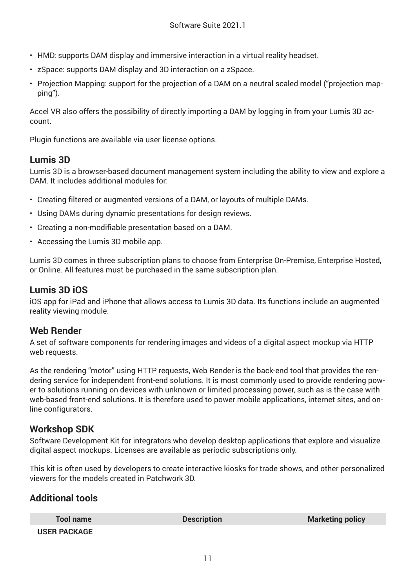- <span id="page-10-0"></span>• HMD: supports DAM display and immersive interaction in a virtual reality headset.
- zSpace: supports DAM display and 3D interaction on a zSpace.
- Projection Mapping: support for the projection of a DAM on a neutral scaled model ("projection mapping").

Accel VR also offers the possibility of directly importing a DAM by logging in from your Lumis 3D account.

Plugin functions are available via user license options.

#### **Lumis 3D**

Lumis 3D is a browser-based document management system including the ability to view and explore a DAM. It includes additional modules for:

- Creating filtered or augmented versions of a DAM, or layouts of multiple DAMs.
- Using DAMs during dynamic presentations for design reviews.
- Creating a non-modifiable presentation based on a DAM.
- Accessing the Lumis 3D mobile app.

Lumis 3D comes in three subscription plans to choose from Enterprise On-Premise, Enterprise Hosted, or Online. All features must be purchased in the same subscription plan.

#### **Lumis 3D iOS**

iOS app for iPad and iPhone that allows access to Lumis 3D data. Its functions include an augmented reality viewing module.

#### **Web Render**

A set of software components for rendering images and videos of a digital aspect mockup via HTTP web requests.

As the rendering "motor" using HTTP requests, Web Render is the back-end tool that provides the rendering service for independent front-end solutions. It is most commonly used to provide rendering power to solutions running on devices with unknown or limited processing power, such as is the case with web-based front-end solutions. It is therefore used to power mobile applications, internet sites, and online configurators.

#### **Workshop SDK**

Software Development Kit for integrators who develop desktop applications that explore and visualize digital aspect mockups. Licenses are available as periodic subscriptions only.

This kit is often used by developers to create interactive kiosks for trade shows, and other personalized viewers for the models created in Patchwork 3D.

### **Additional tools**

| <b>Tool name</b>    | <b>Description</b> | <b>Marketing policy</b> |
|---------------------|--------------------|-------------------------|
| <b>USER PACKAGE</b> |                    |                         |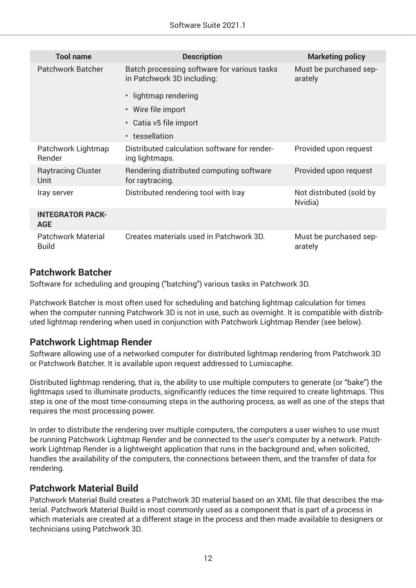<span id="page-11-0"></span>

| <b>Tool name</b>                          | <b>Description</b>                                                        | <b>Marketing policy</b>             |
|-------------------------------------------|---------------------------------------------------------------------------|-------------------------------------|
| <b>Patchwork Batcher</b>                  | Batch processing software for various tasks<br>in Patchwork 3D including: | Must be purchased sep-<br>arately   |
|                                           | • lightmap rendering                                                      |                                     |
|                                           | • Wire file import                                                        |                                     |
|                                           | • Catia v5 file import                                                    |                                     |
|                                           | • tessellation                                                            |                                     |
| Patchwork Lightmap<br>Render              | Distributed calculation software for render-<br>ing lightmaps.            | Provided upon request               |
| <b>Raytracing Cluster</b><br>Unit         | Rendering distributed computing software<br>for raytracing.               | Provided upon request               |
| Iray server                               | Distributed rendering tool with Iray                                      | Not distributed (sold by<br>Nvidia) |
| <b>INTEGRATOR PACK-</b><br><b>AGE</b>     |                                                                           |                                     |
| <b>Patchwork Material</b><br><b>Build</b> | Creates materials used in Patchwork 3D.                                   | Must be purchased sep-<br>arately   |

#### **Patchwork Batcher**

Software for scheduling and grouping ("batching") various tasks in Patchwork 3D.

Patchwork Batcher is most often used for scheduling and batching lightmap calculation for times when the computer running Patchwork 3D is not in use, such as overnight. It is compatible with distributed lightmap rendering when used in conjunction with Patchwork Lightmap Render (see below).

### **Patchwork Lightmap Render**

Software allowing use of a networked computer for distributed lightmap rendering from Patchwork 3D or Patchwork Batcher. It is available upon request addressed to Lumiscaphe.

Distributed lightmap rendering, that is, the ability to use multiple computers to generate (or "bake") the lightmaps used to illuminate products, significantly reduces the time required to create lightmaps. This step is one of the most time-consuming steps in the authoring process, as well as one of the steps that requires the most processing power.

In order to distribute the rendering over multiple computers, the computers a user wishes to use must be running Patchwork Lightmap Render and be connected to the user's computer by a network. Patchwork Lightmap Render is a lightweight application that runs in the background and, when solicited, handles the availability of the computers, the connections between them, and the transfer of data for rendering.

#### **Patchwork Material Build**

Patchwork Material Build creates a Patchwork 3D material based on an XML file that describes the material. Patchwork Material Build is most commonly used as a component that is part of a process in which materials are created at a different stage in the process and then made available to designers or technicians using Patchwork 3D.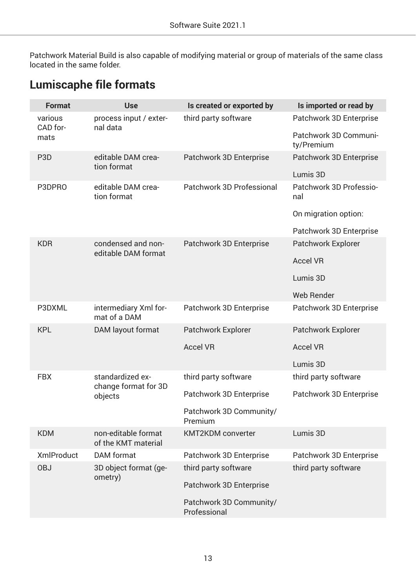<span id="page-12-0"></span>Patchwork Material Build is also capable of modifying material or group of materials of the same class located in the same folder.

# **Lumiscaphe file formats**

| <b>Format</b>       | <b>Use</b>                                 | Is created or exported by               | Is imported or read by              |
|---------------------|--------------------------------------------|-----------------------------------------|-------------------------------------|
| various<br>CAD for- | process input / exter-<br>nal data         | third party software                    | Patchwork 3D Enterprise             |
| mats                |                                            |                                         | Patchwork 3D Communi-<br>ty/Premium |
| P <sub>3</sub> D    | editable DAM crea-<br>tion format          | Patchwork 3D Enterprise                 | Patchwork 3D Enterprise             |
|                     |                                            |                                         | Lumis 3D                            |
| P3DPRO              | editable DAM crea-<br>tion format          | Patchwork 3D Professional               | Patchwork 3D Professio-<br>nal      |
|                     |                                            |                                         | On migration option:                |
|                     |                                            |                                         | Patchwork 3D Enterprise             |
| <b>KDR</b>          | condensed and non-<br>editable DAM format  | Patchwork 3D Enterprise                 | Patchwork Explorer                  |
|                     |                                            |                                         | <b>Accel VR</b>                     |
|                     |                                            |                                         | Lumis 3D                            |
|                     |                                            |                                         | Web Render                          |
| P3DXML              | intermediary Xml for-<br>mat of a DAM      | Patchwork 3D Enterprise                 | Patchwork 3D Enterprise             |
| <b>KPL</b>          | DAM layout format                          | Patchwork Explorer                      | Patchwork Explorer                  |
|                     |                                            | <b>Accel VR</b>                         | <b>Accel VR</b>                     |
|                     |                                            |                                         | Lumis 3D                            |
| <b>FBX</b>          | standardized ex-<br>change format for 3D   | third party software                    | third party software                |
|                     | objects                                    | Patchwork 3D Enterprise                 | Patchwork 3D Enterprise             |
|                     |                                            | Patchwork 3D Community/<br>Premium      |                                     |
| <b>KDM</b>          | non-editable format<br>of the KMT material | <b>KMT2KDM</b> converter                | Lumis 3D                            |
| <b>XmlProduct</b>   | DAM format                                 | Patchwork 3D Enterprise                 | Patchwork 3D Enterprise             |
| <b>OBJ</b>          | 3D object format (ge-<br>ometry)           | third party software                    | third party software                |
|                     |                                            | Patchwork 3D Enterprise                 |                                     |
|                     |                                            | Patchwork 3D Community/<br>Professional |                                     |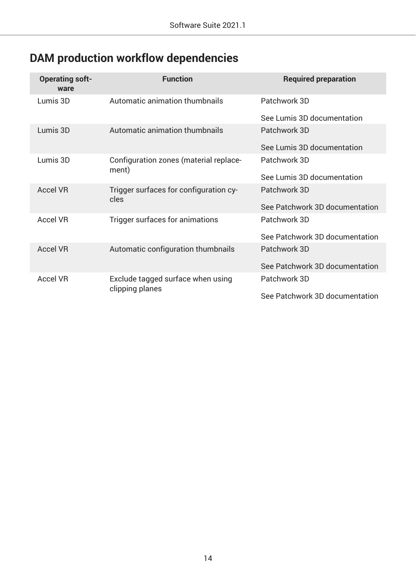# <span id="page-13-0"></span>**DAM production workflow dependencies**

| <b>Operating soft-</b><br>ware | <b>Function</b>                                      | <b>Required preparation</b>    |
|--------------------------------|------------------------------------------------------|--------------------------------|
| Lumis 3D                       | Automatic animation thumbnails                       | Patchwork 3D                   |
|                                |                                                      | See Lumis 3D documentation     |
| Lumis 3D                       | Automatic animation thumbnails                       | Patchwork 3D                   |
|                                |                                                      | See Lumis 3D documentation     |
| Lumis 3D                       | Configuration zones (material replace-<br>ment)      | Patchwork 3D                   |
|                                |                                                      | See Lumis 3D documentation     |
| <b>Accel VR</b>                | Trigger surfaces for configuration cy-<br>cles       | Patchwork 3D                   |
|                                |                                                      | See Patchwork 3D documentation |
| <b>Accel VR</b>                | Trigger surfaces for animations                      | Patchwork 3D                   |
|                                |                                                      | See Patchwork 3D documentation |
| <b>Accel VR</b>                | Automatic configuration thumbnails                   | Patchwork 3D                   |
|                                |                                                      | See Patchwork 3D documentation |
| <b>Accel VR</b>                | Exclude tagged surface when using<br>clipping planes | Patchwork 3D                   |
|                                |                                                      | See Patchwork 3D documentation |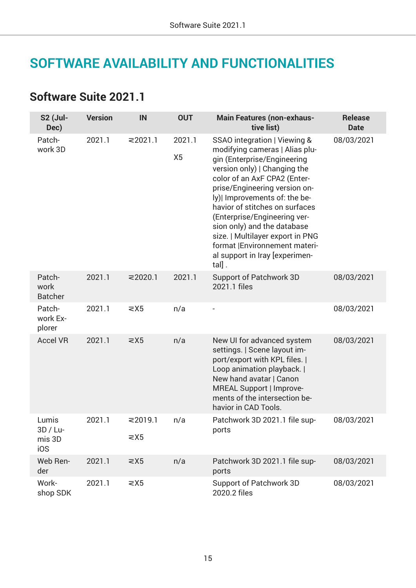# <span id="page-14-0"></span>**SOFTWARE AVAILABILITY AND FUNCTIONALITIES**

### **Software Suite 2021.1**

| S2 (Jul-<br>Dec)                   | <b>Version</b> | IN                   | <b>OUT</b>               | <b>Main Features (non-exhaus-</b><br>tive list)                                                                                                                                                                                                                                                                                                                                                                                                     | <b>Release</b><br><b>Date</b> |
|------------------------------------|----------------|----------------------|--------------------------|-----------------------------------------------------------------------------------------------------------------------------------------------------------------------------------------------------------------------------------------------------------------------------------------------------------------------------------------------------------------------------------------------------------------------------------------------------|-------------------------------|
| Patch-<br>work 3D                  | 2021.1         | 2021.1               | 2021.1<br>X <sub>5</sub> | SSAO integration   Viewing &<br>modifying cameras   Alias plu-<br>gin (Enterprise/Engineering<br>version only)   Changing the<br>color of an AxF CPA2 (Enter-<br>prise/Engineering version on-<br>ly) Improvements of: the be-<br>havior of stitches on surfaces<br>(Enterprise/Engineering ver-<br>sion only) and the database<br>size.   Multilayer export in PNG<br>format   Environnement materi-<br>al support in Iray [experimen-<br>$t$ al]. | 08/03/2021                    |
| Patch-<br>work<br><b>Batcher</b>   | 2021.1         | 2020.1               | 2021.1                   | <b>Support of Patchwork 3D</b><br>2021.1 files                                                                                                                                                                                                                                                                                                                                                                                                      | 08/03/2021                    |
| Patch-<br>work Ex-<br>plorer       | 2021.1         | $\geq$ X5            | n/a                      |                                                                                                                                                                                                                                                                                                                                                                                                                                                     | 08/03/2021                    |
| <b>Accel VR</b>                    | 2021.1         | $\geq$ X5            | n/a                      | New UI for advanced system<br>settings.   Scene layout im-<br>port/export with KPL files.  <br>Loop animation playback.  <br>New hand avatar   Canon<br>MREAL Support   Improve-<br>ments of the intersection be-<br>havior in CAD Tools.                                                                                                                                                                                                           | 08/03/2021                    |
| Lumis<br>3D / Lu-<br>mis 3D<br>iOS | 2021.1         | 22019.1<br>$\leq$ X5 | n/a                      | Patchwork 3D 2021.1 file sup-<br>ports                                                                                                                                                                                                                                                                                                                                                                                                              | 08/03/2021                    |
| Web Ren-<br>der                    | 2021.1         | $\geq$ X5            | n/a                      | Patchwork 3D 2021.1 file sup-<br>ports                                                                                                                                                                                                                                                                                                                                                                                                              | 08/03/2021                    |
| Work-<br>shop SDK                  | 2021.1         | $\leq$ X5            |                          | <b>Support of Patchwork 3D</b><br>2020.2 files                                                                                                                                                                                                                                                                                                                                                                                                      | 08/03/2021                    |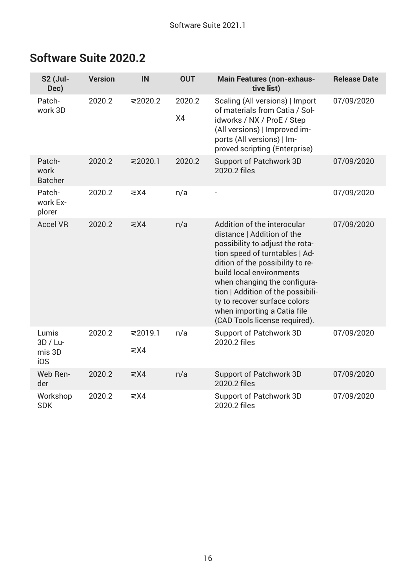## <span id="page-15-0"></span>**Software Suite 2020.2**

| <b>S2 (Jul-</b><br>Dec)            | <b>Version</b> | IN                            | <b>OUT</b>   | <b>Main Features (non-exhaus-</b><br>tive list)                                                                                                                                                                                                                                                                                                                     | <b>Release Date</b> |
|------------------------------------|----------------|-------------------------------|--------------|---------------------------------------------------------------------------------------------------------------------------------------------------------------------------------------------------------------------------------------------------------------------------------------------------------------------------------------------------------------------|---------------------|
| Patch-<br>work 3D                  | 2020.2         | $\approx$ 2020.2              | 2020.2<br>X4 | Scaling (All versions)   Import<br>of materials from Catia / Sol-<br>idworks / NX / ProE / Step<br>(All versions)   Improved im-<br>ports (All versions)   Im-<br>proved scripting (Enterprise)                                                                                                                                                                     | 07/09/2020          |
| Patch-<br>work<br><b>Batcher</b>   | 2020.2         | $= 2020.1$                    | 2020.2       | <b>Support of Patchwork 3D</b><br>2020.2 files                                                                                                                                                                                                                                                                                                                      | 07/09/2020          |
| Patch-<br>work Ex-<br>plorer       | 2020.2         | $\leq$ X4                     | n/a          |                                                                                                                                                                                                                                                                                                                                                                     | 07/09/2020          |
| <b>Accel VR</b>                    | 2020.2         | $\leq$ X4                     | n/a          | Addition of the interocular<br>distance   Addition of the<br>possibility to adjust the rota-<br>tion speed of turntables   Ad-<br>dition of the possibility to re-<br>build local environments<br>when changing the configura-<br>tion   Addition of the possibili-<br>ty to recover surface colors<br>when importing a Catia file<br>(CAD Tools license required). | 07/09/2020          |
| Lumis<br>3D / Lu-<br>mis 3D<br>iOS | 2020.2         | $\approx$ 2019.1<br>$\leq$ X4 | n/a          | Support of Patchwork 3D<br>2020.2 files                                                                                                                                                                                                                                                                                                                             | 07/09/2020          |
| Web Ren-<br>der                    | 2020.2         | $\leq$ X4                     | n/a          | <b>Support of Patchwork 3D</b><br>2020.2 files                                                                                                                                                                                                                                                                                                                      | 07/09/2020          |
| Workshop<br><b>SDK</b>             | 2020.2         | $\leq$ X4                     |              | Support of Patchwork 3D<br>2020.2 files                                                                                                                                                                                                                                                                                                                             | 07/09/2020          |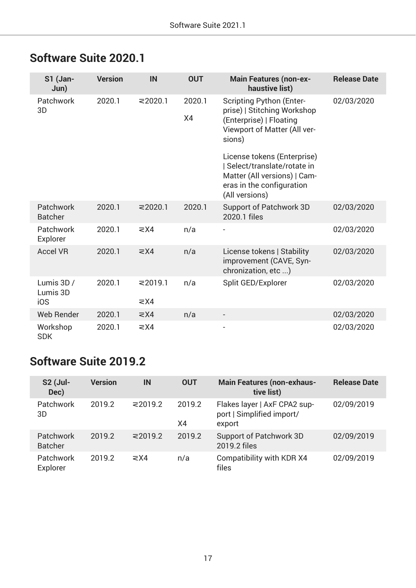## <span id="page-16-0"></span>**Software Suite 2020.1**

| $S1$ (Jan-<br>Jun)            | <b>Version</b> | <b>IN</b>                     | <b>OUT</b>   | <b>Main Features (non-ex-</b><br>haustive list)                                                                                          | <b>Release Date</b> |
|-------------------------------|----------------|-------------------------------|--------------|------------------------------------------------------------------------------------------------------------------------------------------|---------------------|
| Patchwork<br>3D               | 2020.1         | $\approx$ 2020.1              | 2020.1<br>X4 | <b>Scripting Python (Enter-</b><br>prise)   Stitching Workshop<br>(Enterprise)   Floating<br>Viewport of Matter (All ver-<br>sions)      | 02/03/2020          |
|                               |                |                               |              | License tokens (Enterprise)<br>Select/translate/rotate in<br>Matter (All versions)   Cam-<br>eras in the configuration<br>(All versions) |                     |
| Patchwork<br><b>Batcher</b>   | 2020.1         | $= 2020.1$                    | 2020.1       | Support of Patchwork 3D<br>2020.1 files                                                                                                  | 02/03/2020          |
| Patchwork<br>Explorer         | 2020.1         | $\leq$ X4                     | n/a          |                                                                                                                                          | 02/03/2020          |
| <b>Accel VR</b>               | 2020.1         | $\leq$ X4                     | n/a          | License tokens   Stability<br>improvement (CAVE, Syn-<br>chronization, etc )                                                             | 02/03/2020          |
| Lumis 3D /<br>Lumis 3D<br>i0S | 2020.1         | $\approx$ 2019.1<br>$\leq$ X4 | n/a          | Split GED/Explorer                                                                                                                       | 02/03/2020          |
| Web Render                    | 2020.1         | $\leq$ X4                     | n/a          |                                                                                                                                          | 02/03/2020          |
| Workshop<br><b>SDK</b>        | 2020.1         | $\leq$ X4                     |              |                                                                                                                                          | 02/03/2020          |

# **Software Suite 2019.2**

| <b>S2 (Jul-</b><br>Dec)     | <b>Version</b> | <b>IN</b>        | <b>OUT</b>   | <b>Main Features (non-exhaus-</b><br>tive list)                     | <b>Release Date</b> |
|-----------------------------|----------------|------------------|--------------|---------------------------------------------------------------------|---------------------|
| Patchwork<br>3D             | 2019.2         | $\approx$ 2019.2 | 2019.2<br>X4 | Flakes layer   AxF CPA2 sup-<br>port   Simplified import/<br>export | 02/09/2019          |
| Patchwork<br><b>Batcher</b> | 2019.2         | $\approx$ 2019.2 | 2019.2       | Support of Patchwork 3D<br>2019.2 files                             | 02/09/2019          |
| Patchwork<br>Explorer       | 2019.2         | $\geq$ X4        | n/a          | Compatibility with KDR X4<br>files                                  | 02/09/2019          |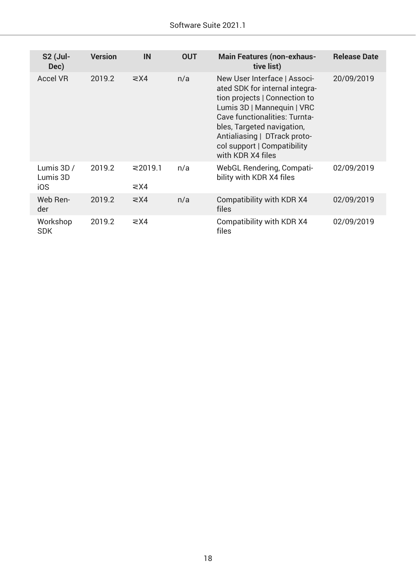| $S2$ (Jul-<br>Dec)            | <b>Version</b> | IN                            | <b>OUT</b> | <b>Main Features (non-exhaus-</b><br>tive list)                                                                                                                                                                                                                                  | <b>Release Date</b> |
|-------------------------------|----------------|-------------------------------|------------|----------------------------------------------------------------------------------------------------------------------------------------------------------------------------------------------------------------------------------------------------------------------------------|---------------------|
| <b>Accel VR</b>               | 2019.2         | $\geq$ X4                     | n/a        | New User Interface   Associ-<br>ated SDK for internal integra-<br>tion projects   Connection to<br>Lumis 3D   Mannequin   VRC<br>Cave functionalities: Turnta-<br>bles, Targeted navigation,<br>Antialiasing   DTrack proto-<br>col support   Compatibility<br>with KDR X4 files | 20/09/2019          |
| Lumis 3D /<br>Lumis 3D<br>iOS | 2019.2         | $\approx$ 2019.1<br>$\leq$ X4 | n/a        | WebGL Rendering, Compati-<br>bility with KDR X4 files                                                                                                                                                                                                                            | 02/09/2019          |
| Web Ren-<br>der               | 2019.2         | $\leq$ X4                     | n/a        | Compatibility with KDR X4<br>files                                                                                                                                                                                                                                               | 02/09/2019          |
| Workshop<br><b>SDK</b>        | 2019.2         | $\geq$ X4                     |            | Compatibility with KDR X4<br>files                                                                                                                                                                                                                                               | 02/09/2019          |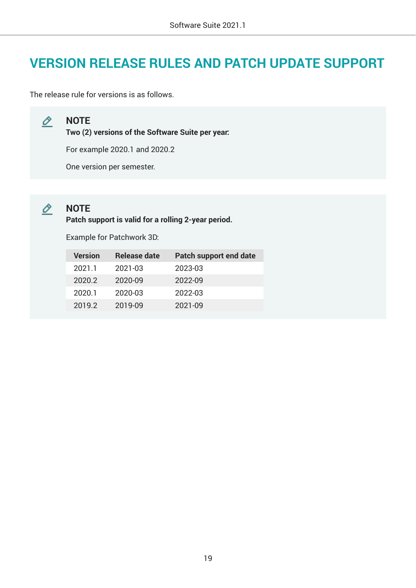# <span id="page-18-0"></span>**VERSION RELEASE RULES AND PATCH UPDATE SUPPORT**

The release rule for versions is as follows.



### **NOTE**

**Two (2) versions of the Software Suite per year:**

For example 2020.1 and 2020.2

One version per semester.



#### **NOTE**

**Patch support is valid for a rolling 2-year period.**

Example for Patchwork 3D:

| <b>Version</b> | <b>Release date</b> | Patch support end date |
|----------------|---------------------|------------------------|
| 2021.1         | 2021-03             | 2023-03                |
| 2020.2         | 2020-09             | 2022-09                |
| 2020.1         | 2020-03             | 2022-03                |
| 2019.2         | 2019-09             | 2021-09                |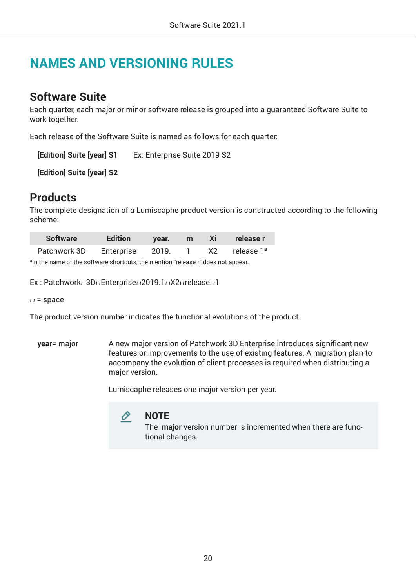# <span id="page-19-0"></span>**NAMES AND VERSIONING RULES**

### **Software Suite**

Each quarter, each major or minor software release is grouped into a guaranteed Software Suite to work together.

Each release of the Software Suite is named as follows for each quarter:

**[Edition] Suite [year] S1** Ex: Enterprise Suite 2019 S2

**[Edition] Suite [year] S2**

### **Products**

The complete designation of a Lumiscaphe product version is constructed according to the following scheme:

| <b>Software</b> | <b>Edition</b>                               | year. m |  | Xi release r |
|-----------------|----------------------------------------------|---------|--|--------------|
| Patchwork 3D    | Enterprise 2019. 1 X2 release 1 <sup>a</sup> |         |  |              |

aln the name of the software shortcuts, the mention "release r" does not appear.

Ex : Patchwork⊔3D⊔Enterprise⊔2019.1⊔X2⊔releaseப1

 $u =$ space

The product version number indicates the functional evolutions of the product.

**year**= major A new major version of Patchwork 3D Enterprise introduces significant new features or improvements to the use of existing features. A migration plan to accompany the evolution of client processes is required when distributing a major version.

Lumiscaphe releases one major version per year.



#### **NOTE**

The **major** version number is incremented when there are functional changes.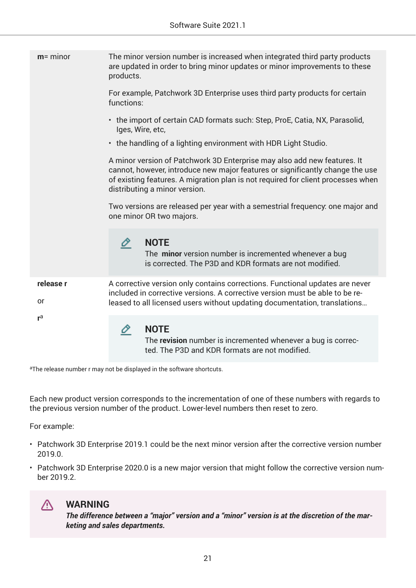| $m =$ minor     | The minor version number is increased when integrated third party products<br>are updated in order to bring minor updates or minor improvements to these<br>products.                                                                                                          |  |  |  |
|-----------------|--------------------------------------------------------------------------------------------------------------------------------------------------------------------------------------------------------------------------------------------------------------------------------|--|--|--|
|                 | For example, Patchwork 3D Enterprise uses third party products for certain<br>functions:                                                                                                                                                                                       |  |  |  |
|                 | • the import of certain CAD formats such: Step, ProE, Catia, NX, Parasolid,<br>Iges, Wire, etc,                                                                                                                                                                                |  |  |  |
|                 | • the handling of a lighting environment with HDR Light Studio.                                                                                                                                                                                                                |  |  |  |
|                 | A minor version of Patchwork 3D Enterprise may also add new features. It<br>cannot, however, introduce new major features or significantly change the use<br>of existing features. A migration plan is not required for client processes when<br>distributing a minor version. |  |  |  |
|                 | Two versions are released per year with a semestrial frequency: one major and<br>one minor OR two majors.                                                                                                                                                                      |  |  |  |
|                 | <b>NOTE</b><br>0<br>The minor version number is incremented whenever a bug<br>is corrected. The P3D and KDR formats are not modified.                                                                                                                                          |  |  |  |
| release r<br>or | A corrective version only contains corrections. Functional updates are never<br>included in corrective versions. A corrective version must be able to be re-<br>leased to all licensed users without updating documentation, translations                                      |  |  |  |
| $r^a$           | <b>NOTE</b><br>The revision number is incremented whenever a bug is correc-                                                                                                                                                                                                    |  |  |  |

aThe release number r may not be displayed in the software shortcuts.

Each new product version corresponds to the incrementation of one of these numbers with regards to the previous version number of the product. Lower-level numbers then reset to zero.

ted. The P3D and KDR formats are not modified.

For example:

- Patchwork 3D Enterprise 2019.1 could be the next minor version after the corrective version number 2019.0.
- Patchwork 3D Enterprise 2020.0 is a new major version that might follow the corrective version number 2019.2.



#### **WARNING**

*The difference between a "major" version and a "minor" version is at the discretion of the marketing and sales departments.*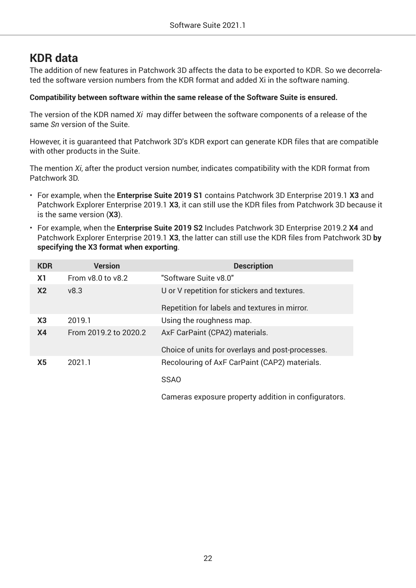## <span id="page-21-0"></span>**KDR data**

The addition of new features in Patchwork 3D affects the data to be exported to KDR. So we decorrelated the software version numbers from the KDR format and added Xi in the software naming.

#### **Compatibility between software within the same release of the Software Suite is ensured.**

The version of the KDR named *Xi* may differ between the software components of a release of the same *Sn* version of the Suite.

However, it is guaranteed that Patchwork 3D's KDR export can generate KDR files that are compatible with other products in the Suite.

The mention *Xi*, after the product version number, indicates compatibility with the KDR format from Patchwork 3D.

- For example, when the **Enterprise Suite 2019 S1** contains Patchwork 3D Enterprise 2019.1 **X3** and Patchwork Explorer Enterprise 2019.1 **X3**, it can still use the KDR files from Patchwork 3D because it is the same version (**X3**).
- For example, when the **Enterprise Suite 2019 S2** Includes Patchwork 3D Enterprise 2019.2 **X4** and Patchwork Explorer Enterprise 2019.1 **X3**, the latter can still use the KDR files from Patchwork 3D **by specifying the X3 format when exporting**.

| <b>KDR</b>     | <b>Version</b>        | <b>Description</b>                                   |
|----------------|-----------------------|------------------------------------------------------|
| X <sub>1</sub> | From v8.0 to v8.2     | "Software Suite v8.0"                                |
| X <sub>2</sub> | V8.3                  | U or V repetition for stickers and textures.         |
|                |                       | Repetition for labels and textures in mirror.        |
| X3             | 2019.1                | Using the roughness map.                             |
| X <sub>4</sub> | From 2019.2 to 2020.2 | AxF CarPaint (CPA2) materials.                       |
|                |                       | Choice of units for overlays and post-processes.     |
| X <sub>5</sub> | 2021.1                | Recolouring of AxF CarPaint (CAP2) materials.        |
|                |                       | <b>SSAO</b>                                          |
|                |                       | Cameras exposure property addition in configurators. |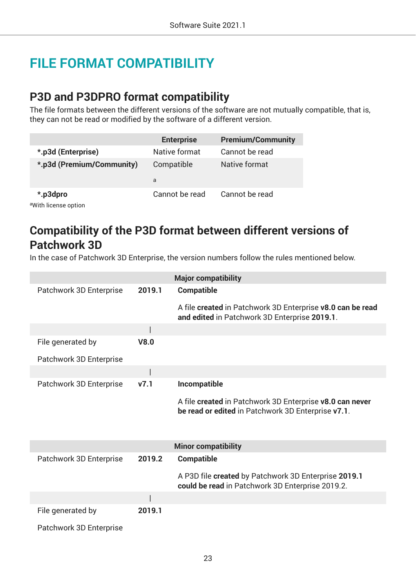# <span id="page-22-0"></span>**FILE FORMAT COMPATIBILITY**

## **P3D and P3DPRO format compatibility**

The file formats between the different versions of the software are not mutually compatible, that is, they can not be read or modified by the software of a different version.

|                                              | <b>Enterprise</b> | <b>Premium/Community</b> |
|----------------------------------------------|-------------------|--------------------------|
| *.p3d (Enterprise)                           | Native format     | Cannot be read           |
| *.p3d (Premium/Community)                    | Compatible<br>a   | Native format            |
| *.p3dpro<br><sup>a</sup> With license option | Cannot be read    | Cannot be read           |

## **Compatibility of the P3D format between different versions of Patchwork 3D**

In the case of Patchwork 3D Enterprise, the version numbers follow the rules mentioned below.

|                         |        | <b>Major compatibility</b>                                                                                     |
|-------------------------|--------|----------------------------------------------------------------------------------------------------------------|
| Patchwork 3D Enterprise | 2019.1 | <b>Compatible</b>                                                                                              |
|                         |        | A file created in Patchwork 3D Enterprise v8.0 can be read<br>and edited in Patchwork 3D Enterprise 2019.1.    |
|                         |        |                                                                                                                |
| File generated by       | V8.0   |                                                                                                                |
| Patchwork 3D Enterprise |        |                                                                                                                |
|                         |        |                                                                                                                |
| Patchwork 3D Enterprise | v7.1   | <b>Incompatible</b>                                                                                            |
|                         |        | A file created in Patchwork 3D Enterprise v8.0 can never<br>be read or edited in Patchwork 3D Enterprise v7.1. |
|                         |        | <b>Minor compatibility</b>                                                                                     |
| Patchwork 3D Enterprise | 2019.2 | <b>Compatible</b>                                                                                              |
|                         |        | A P3D file created by Patchwork 3D Enterprise 2019.1<br>could be read in Patchwork 3D Enterprise 2019.2.       |
|                         |        |                                                                                                                |
| File generated by       | 2019.1 |                                                                                                                |
| Patchwork 3D Enterprise |        |                                                                                                                |